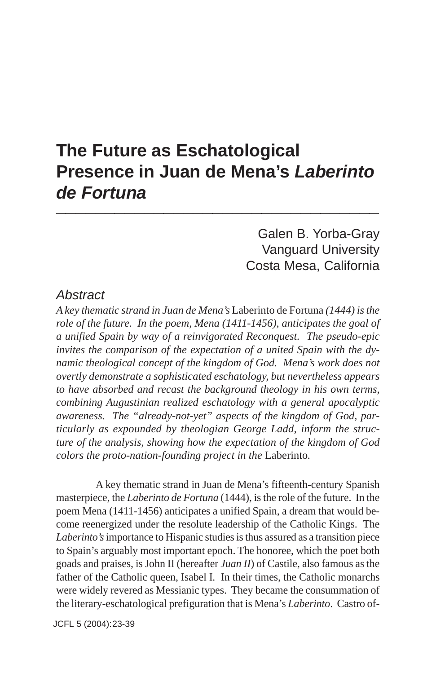# **The Future as Eschatological Presence in Juan de Mena's** *Laberinto de Fortuna* **\_\_\_\_\_\_\_\_\_\_\_\_\_\_\_\_\_\_\_\_\_\_\_\_\_\_\_\_\_\_\_\_\_**

Galen B. Yorba-Gray Vanguard University Costa Mesa, California

#### *Abstract*

*A key thematic strand in Juan de Mena's* Laberinto de Fortuna *(1444) is the role of the future. In the poem, Mena (1411-1456), anticipates the goal of a unified Spain by way of a reinvigorated Reconquest. The pseudo-epic invites the comparison of the expectation of a united Spain with the dynamic theological concept of the kingdom of God. Mena's work does not overtly demonstrate a sophisticated eschatology, but nevertheless appears to have absorbed and recast the background theology in his own terms, combining Augustinian realized eschatology with a general apocalyptic awareness. The "already-not-yet" aspects of the kingdom of God, particularly as expounded by theologian George Ladd, inform the structure of the analysis, showing how the expectation of the kingdom of God colors the proto-nation-founding project in the* Laberinto*.*

A key thematic strand in Juan de Mena's fifteenth-century Spanish masterpiece, the *Laberinto de Fortuna* (1444), is the role of the future. In the poem Mena (1411-1456) anticipates a unified Spain, a dream that would become reenergized under the resolute leadership of the Catholic Kings. The *Laberinto's* importance to Hispanic studies is thus assured as a transition piece to Spain's arguably most important epoch. The honoree, which the poet both goads and praises, is John II (hereafter *Juan II*) of Castile, also famous as the father of the Catholic queen, Isabel I*.* In their times, the Catholic monarchs were widely revered as Messianic types. They became the consummation of the literary-eschatological prefiguration that is Mena's *Laberinto*. Castro of-

JCFL 5 (2004): 23-39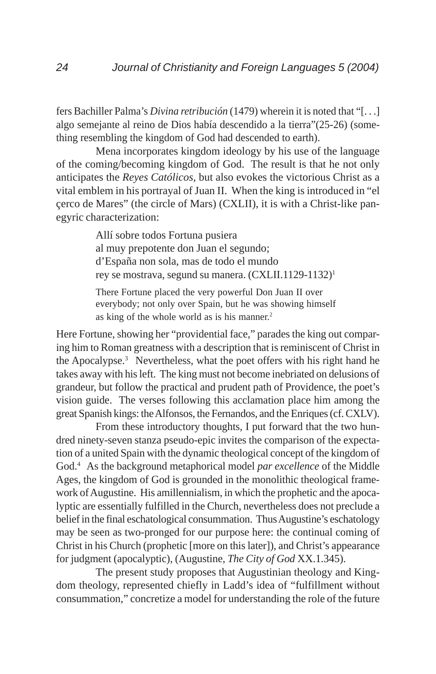fers Bachiller Palma's *Divina retribución* (1479) wherein it is noted that "[. . .] algo semejante al reino de Dios había descendido a la tierra"(25-26) (something resembling the kingdom of God had descended to earth).

Mena incorporates kingdom ideology by his use of the language of the coming/becoming kingdom of God. The result is that he not only anticipates the *Reyes Católicos*, but also evokes the victorious Christ as a vital emblem in his portrayal of Juan II. When the king is introduced in "el çerco de Mares" (the circle of Mars) (CXLII), it is with a Christ-like panegyric characterization:

> Allí sobre todos Fortuna pusiera al muy prepotente don Juan el segundo; d'España non sola, mas de todo el mundo rey se mostrava, segund su manera. (CXLII.1129-1132)1

> There Fortune placed the very powerful Don Juan II over everybody; not only over Spain, but he was showing himself as king of the whole world as is his manner.<sup>2</sup>

Here Fortune, showing her "providential face," parades the king out comparing him to Roman greatness with a description that is reminiscent of Christ in the Apocalypse.3 Nevertheless, what the poet offers with his right hand he takes away with his left. The king must not become inebriated on delusions of grandeur, but follow the practical and prudent path of Providence, the poet's vision guide. The verses following this acclamation place him among the great Spanish kings: the Alfonsos, the Fernandos, and the Enriques (cf. CXLV).

From these introductory thoughts, I put forward that the two hundred ninety-seven stanza pseudo-epic invites the comparison of the expectation of a united Spain with the dynamic theological concept of the kingdom of God.4 As the background metaphorical model *par excellence* of the Middle Ages, the kingdom of God is grounded in the monolithic theological framework of Augustine. His amillennialism, in which the prophetic and the apocalyptic are essentially fulfilled in the Church, nevertheless does not preclude a belief in the final eschatological consummation. Thus Augustine's eschatology may be seen as two-pronged for our purpose here: the continual coming of Christ in his Church (prophetic [more on this later]), and Christ's appearance for judgment (apocalyptic), (Augustine, *The City of God* XX.1.345).

The present study proposes that Augustinian theology and Kingdom theology, represented chiefly in Ladd's idea of "fulfillment without consummation," concretize a model for understanding the role of the future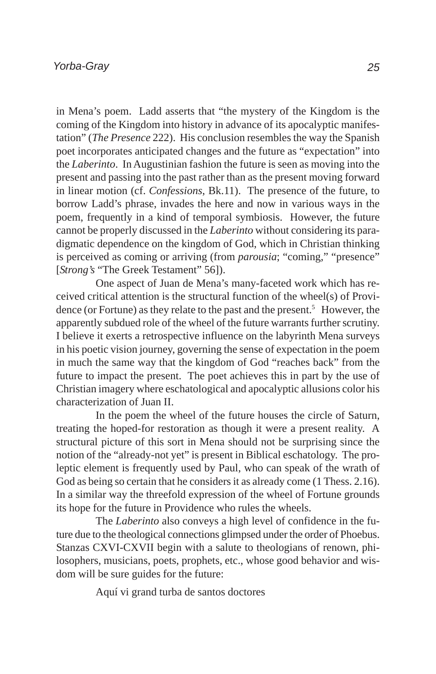in Mena's poem. Ladd asserts that "the mystery of the Kingdom is the coming of the Kingdom into history in advance of its apocalyptic manifestation" (*The Presence* 222). His conclusion resembles the way the Spanish poet incorporates anticipated changes and the future as "expectation" into the *Laberinto*. In Augustinian fashion the future is seen as moving into the present and passing into the past rather than as the present moving forward in linear motion (cf. *Confessions*, Bk.11). The presence of the future, to borrow Ladd's phrase, invades the here and now in various ways in the poem, frequently in a kind of temporal symbiosis. However, the future cannot be properly discussed in the *Laberinto* without considering its paradigmatic dependence on the kingdom of God, which in Christian thinking is perceived as coming or arriving (from *parousia*; "coming," "presence" [*Strong's* "The Greek Testament" 56]).

One aspect of Juan de Mena's many-faceted work which has received critical attention is the structural function of the wheel(s) of Providence (or Fortune) as they relate to the past and the present.<sup>5</sup> However, the apparently subdued role of the wheel of the future warrants further scrutiny. I believe it exerts a retrospective influence on the labyrinth Mena surveys in his poetic vision journey, governing the sense of expectation in the poem in much the same way that the kingdom of God "reaches back" from the future to impact the present. The poet achieves this in part by the use of Christian imagery where eschatological and apocalyptic allusions color his characterization of Juan II.

In the poem the wheel of the future houses the circle of Saturn, treating the hoped-for restoration as though it were a present reality. A structural picture of this sort in Mena should not be surprising since the notion of the "already-not yet" is present in Biblical eschatology. The proleptic element is frequently used by Paul, who can speak of the wrath of God as being so certain that he considers it as already come (1 Thess. 2.16). In a similar way the threefold expression of the wheel of Fortune grounds its hope for the future in Providence who rules the wheels.

The *Laberinto* also conveys a high level of confidence in the future due to the theological connections glimpsed under the order of Phoebus. Stanzas CXVI-CXVII begin with a salute to theologians of renown, philosophers, musicians, poets, prophets, etc., whose good behavior and wisdom will be sure guides for the future:

Aquí vi grand turba de santos doctores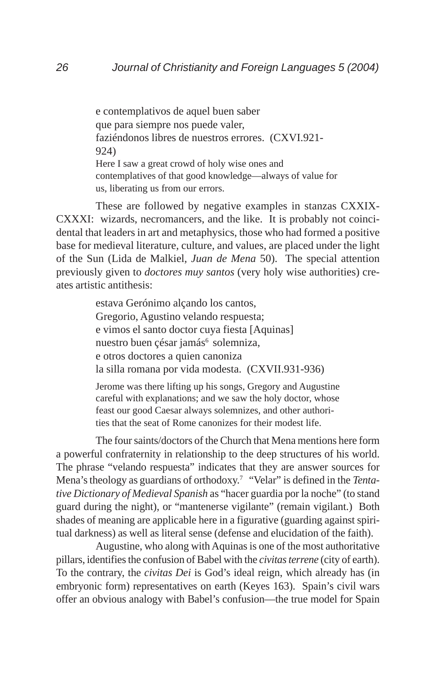e contemplativos de aquel buen saber que para siempre nos puede valer, faziéndonos libres de nuestros errores. (CXVI.921- 924) Here I saw a great crowd of holy wise ones and contemplatives of that good knowledge—always of value for us, liberating us from our errors.

These are followed by negative examples in stanzas CXXIX-CXXXI: wizards, necromancers, and the like. It is probably not coincidental that leaders in art and metaphysics, those who had formed a positive base for medieval literature, culture, and values, are placed under the light of the Sun (Lida de Malkiel*, Juan de Mena* 50). The special attention previously given to *doctores muy santos* (very holy wise authorities) creates artistic antithesis:

> estava Gerónimo alçando los cantos, Gregorio, Agustino velando respuesta; e vimos el santo doctor cuya fiesta [Aquinas] nuestro buen çésar jamás<sup>6</sup> solemniza, e otros doctores a quien canoniza la silla romana por vida modesta. (CXVII.931-936)

Jerome was there lifting up his songs, Gregory and Augustine careful with explanations; and we saw the holy doctor, whose feast our good Caesar always solemnizes, and other authorities that the seat of Rome canonizes for their modest life.

The four saints/doctors of the Church that Mena mentions here form a powerful confraternity in relationship to the deep structures of his world. The phrase "velando respuesta" indicates that they are answer sources for Mena's theology as guardians of orthodoxy.7 "Velar" is defined in the *Tentative Dictionary of Medieval Spanish* as "hacer guardia por la noche" (to stand guard during the night), or "mantenerse vigilante" (remain vigilant.) Both shades of meaning are applicable here in a figurative (guarding against spiritual darkness) as well as literal sense (defense and elucidation of the faith).

Augustine, who along with Aquinas is one of the most authoritative pillars, identifies the confusion of Babel with the *civitas terrene* (city of earth). To the contrary, the *civitas Dei* is God's ideal reign, which already has (in embryonic form) representatives on earth (Keyes 163). Spain's civil wars offer an obvious analogy with Babel's confusion—the true model for Spain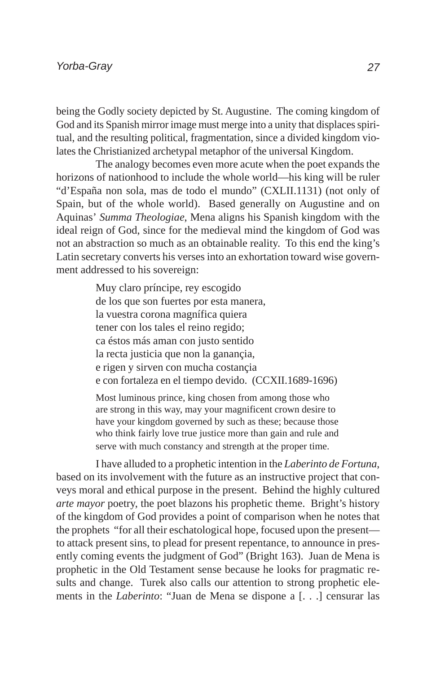being the Godly society depicted by St. Augustine. The coming kingdom of God and its Spanish mirror image must merge into a unity that displaces spiritual, and the resulting political, fragmentation, since a divided kingdom violates the Christianized archetypal metaphor of the universal Kingdom.

The analogy becomes even more acute when the poet expands the horizons of nationhood to include the whole world—his king will be ruler "d'España non sola, mas de todo el mundo" (CXLII.1131) (not only of Spain, but of the whole world). Based generally on Augustine and on Aquinas' *Summa Theologiae*, Mena aligns his Spanish kingdom with the ideal reign of God, since for the medieval mind the kingdom of God was not an abstraction so much as an obtainable reality. To this end the king's Latin secretary converts his verses into an exhortation toward wise government addressed to his sovereign:

> Muy claro príncipe, rey escogido de los que son fuertes por esta manera, la vuestra corona magnífica quiera tener con los tales el reino regido; ca éstos más aman con justo sentido la recta justicia que non la ganançia, e rigen y sirven con mucha costançia e con fortaleza en el tiempo devido. (CCXII.1689-1696)

> Most luminous prince, king chosen from among those who are strong in this way, may your magnificent crown desire to have your kingdom governed by such as these; because those who think fairly love true justice more than gain and rule and serve with much constancy and strength at the proper time.

I have alluded to a prophetic intention in the *Laberinto de Fortuna*, based on its involvement with the future as an instructive project that conveys moral and ethical purpose in the present. Behind the highly cultured *arte mayor* poetry, the poet blazons his prophetic theme. Bright's history of the kingdom of God provides a point of comparison when he notes that the prophets "for all their eschatological hope, focused upon the present to attack present sins, to plead for present repentance, to announce in presently coming events the judgment of God" (Bright 163). Juan de Mena is prophetic in the Old Testament sense because he looks for pragmatic results and change. Turek also calls our attention to strong prophetic elements in the *Laberinto*: "Juan de Mena se dispone a [. . .] censurar las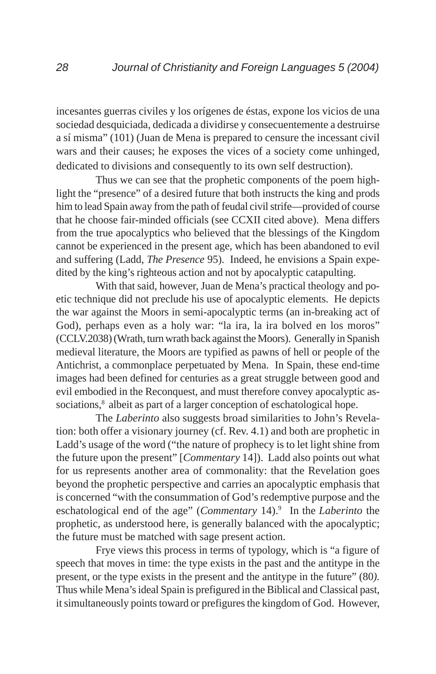incesantes guerras civiles y los orígenes de éstas, expone los vicios de una sociedad desquiciada, dedicada a dividirse y consecuentemente a destruirse a sí misma" (101) (Juan de Mena is prepared to censure the incessant civil wars and their causes; he exposes the vices of a society come unhinged, dedicated to divisions and consequently to its own self destruction).

Thus we can see that the prophetic components of the poem highlight the "presence" of a desired future that both instructs the king and prods him to lead Spain away from the path of feudal civil strife—provided of course that he choose fair-minded officials (see CCXII cited above). Mena differs from the true apocalyptics who believed that the blessings of the Kingdom cannot be experienced in the present age, which has been abandoned to evil and suffering (Ladd, *The Presence* 95). Indeed, he envisions a Spain expedited by the king's righteous action and not by apocalyptic catapulting.

With that said, however, Juan de Mena's practical theology and poetic technique did not preclude his use of apocalyptic elements. He depicts the war against the Moors in semi-apocalyptic terms (an in-breaking act of God), perhaps even as a holy war: "la ira, la ira bolved en los moros" (CCLV.2038) (Wrath, turn wrath back against the Moors). Generally in Spanish medieval literature, the Moors are typified as pawns of hell or people of the Antichrist, a commonplace perpetuated by Mena. In Spain, these end-time images had been defined for centuries as a great struggle between good and evil embodied in the Reconquest, and must therefore convey apocalyptic associations,<sup>8</sup> albeit as part of a larger conception of eschatological hope.

The *Laberinto* also suggests broad similarities to John's Revelation: both offer a visionary journey (cf. Rev. 4.1) and both are prophetic in Ladd's usage of the word ("the nature of prophecy is to let light shine from the future upon the present" [*Commentary* 14]). Ladd also points out what for us represents another area of commonality: that the Revelation goes beyond the prophetic perspective and carries an apocalyptic emphasis that is concerned "with the consummation of God's redemptive purpose and the eschatological end of the age" (*Commentary 14*).<sup>9</sup> In the *Laberinto* the prophetic, as understood here, is generally balanced with the apocalyptic; the future must be matched with sage present action.

Frye views this process in terms of typology, which is "a figure of speech that moves in time: the type exists in the past and the antitype in the present, or the type exists in the present and the antitype in the future" (80*).* Thus while Mena's ideal Spain is prefigured in the Biblical and Classical past, it simultaneously points toward or prefigures the kingdom of God. However,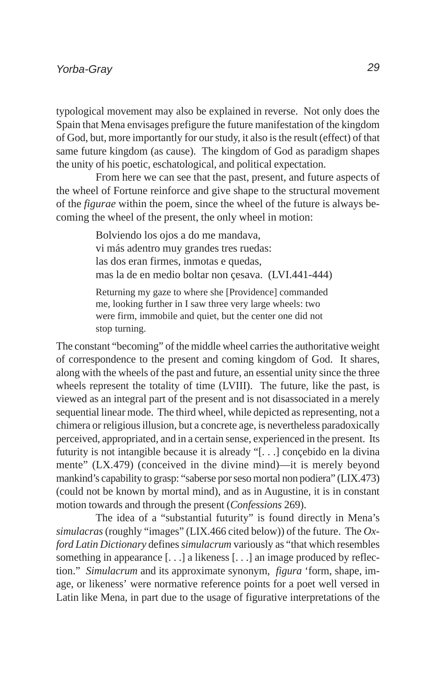typological movement may also be explained in reverse. Not only does the Spain that Mena envisages prefigure the future manifestation of the kingdom of God, but, more importantly for our study, it also is the result (effect) of that same future kingdom (as cause). The kingdom of God as paradigm shapes the unity of his poetic, eschatological, and political expectation.

From here we can see that the past, present, and future aspects of the wheel of Fortune reinforce and give shape to the structural movement of the *figurae* within the poem, since the wheel of the future is always becoming the wheel of the present, the only wheel in motion:

> Bolviendo los ojos a do me mandava, vi más adentro muy grandes tres ruedas: las dos eran firmes, inmotas e quedas, mas la de en medio boltar non çesava. (LVI.441-444) Returning my gaze to where she [Providence] commanded me, looking further in I saw three very large wheels: two were firm, immobile and quiet, but the center one did not stop turning.

The constant "becoming" of the middle wheel carries the authoritative weight of correspondence to the present and coming kingdom of God. It shares, along with the wheels of the past and future, an essential unity since the three wheels represent the totality of time (LVIII). The future, like the past, is viewed as an integral part of the present and is not disassociated in a merely sequential linear mode. The third wheel, while depicted as representing, not a chimera or religious illusion, but a concrete age, is nevertheless paradoxically perceived, appropriated, and in a certain sense, experienced in the present. Its futurity is not intangible because it is already "[. . .] conçebido en la divina mente" (LX.479) (conceived in the divine mind)—it is merely beyond mankind's capability to grasp: "saberse por seso mortal non podiera" (LIX.473) (could not be known by mortal mind), and as in Augustine, it is in constant motion towards and through the present (*Confessions* 269).

The idea of a "substantial futurity" is found directly in Mena's *simulacras* (roughly "images" (LIX.466 cited below)) of the future. The *Oxford Latin Dictionary* defines *simulacrum* variously as "that which resembles something in appearance [. . .] a likeness [. . .] an image produced by reflection." *Simulacrum* and its approximate synonym, *figura* 'form, shape, image, or likeness' were normative reference points for a poet well versed in Latin like Mena, in part due to the usage of figurative interpretations of the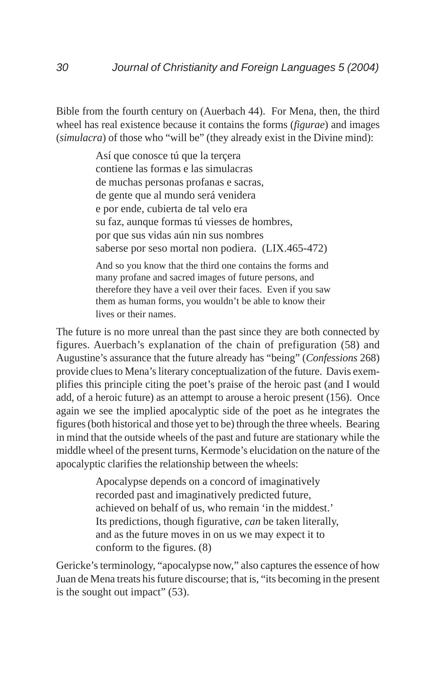Bible from the fourth century on (Auerbach 44). For Mena, then, the third wheel has real existence because it contains the forms (*figurae*) and images (*simulacra*) of those who "will be" (they already exist in the Divine mind):

> Así que conosce tú que la terçera contiene las formas e las simulacras de muchas personas profanas e sacras, de gente que al mundo será venidera e por ende, cubierta de tal velo era su faz, aunque formas tú viesses de hombres, por que sus vidas aún nin sus nombres saberse por seso mortal non podiera. (LIX.465-472) And so you know that the third one contains the forms and

> many profane and sacred images of future persons, and therefore they have a veil over their faces. Even if you saw them as human forms, you wouldn't be able to know their lives or their names.

The future is no more unreal than the past since they are both connected by figures. Auerbach's explanation of the chain of prefiguration (58) and Augustine's assurance that the future already has "being" (*Confessions* 268) provide clues to Mena's literary conceptualization of the future. Davis exemplifies this principle citing the poet's praise of the heroic past (and I would add, of a heroic future) as an attempt to arouse a heroic present (156). Once again we see the implied apocalyptic side of the poet as he integrates the figures (both historical and those yet to be) through the three wheels. Bearing in mind that the outside wheels of the past and future are stationary while the middle wheel of the present turns, Kermode's elucidation on the nature of the apocalyptic clarifies the relationship between the wheels:

> Apocalypse depends on a concord of imaginatively recorded past and imaginatively predicted future, achieved on behalf of us, who remain 'in the middest.' Its predictions, though figurative, *can* be taken literally, and as the future moves in on us we may expect it to conform to the figures. (8)

Gericke's terminology, "apocalypse now," also captures the essence of how Juan de Mena treats his future discourse; that is, "its becoming in the present is the sought out impact" (53).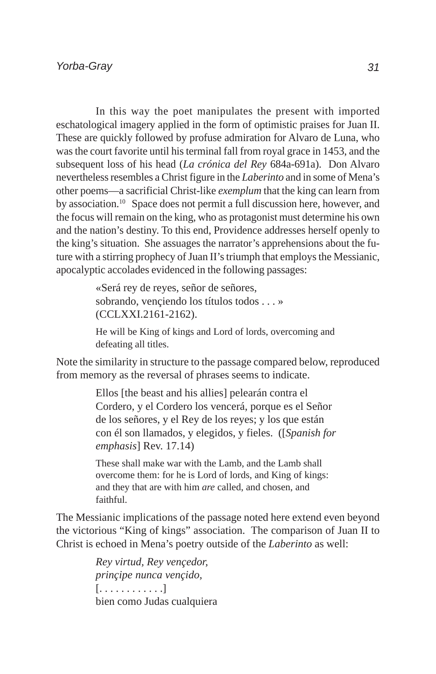In this way the poet manipulates the present with imported eschatological imagery applied in the form of optimistic praises for Juan II. These are quickly followed by profuse admiration for Alvaro de Luna, who was the court favorite until his terminal fall from royal grace in 1453, and the subsequent loss of his head (*La crónica del Rey* 684a-691a). Don Alvaro nevertheless resembles a Christ figure in the *Laberinto* and in some of Mena's other poems—a sacrificial Christ-like *exemplum* that the king can learn from by association.10 Space does not permit a full discussion here, however, and the focus will remain on the king, who as protagonist must determine his own and the nation's destiny. To this end, Providence addresses herself openly to the king's situation. She assuages the narrator's apprehensions about the future with a stirring prophecy of Juan II's triumph that employs the Messianic, apocalyptic accolades evidenced in the following passages:

> «Será rey de reyes, señor de señores, sobrando, vençiendo los títulos todos . . . » (CCLXXI.2161-2162).

He will be King of kings and Lord of lords, overcoming and defeating all titles.

Note the similarity in structure to the passage compared below, reproduced from memory as the reversal of phrases seems to indicate.

> Ellos [the beast and his allies] pelearán contra el Cordero, y el Cordero los vencerá, porque es el Señor de los señores, y el Rey de los reyes; y los que están con él son llamados, y elegidos, y fieles. ([*Spanish for emphasis*] Rev. 17.14)

These shall make war with the Lamb, and the Lamb shall overcome them: for he is Lord of lords, and King of kings: and they that are with him *are* called, and chosen, and faithful.

The Messianic implications of the passage noted here extend even beyond the victorious "King of kings" association. The comparison of Juan II to Christ is echoed in Mena's poetry outside of the *Laberinto* as well:

> *Rey virtud, Rey vençedor, prinçipe nunca vençido,* [. . . . . . . . . . . .] bien como Judas cualquiera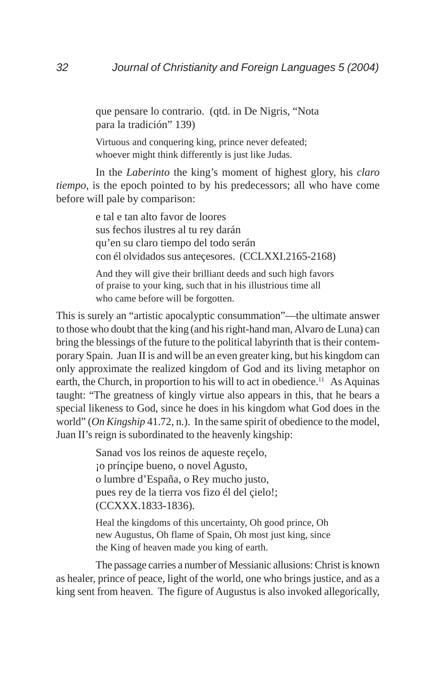que pensare lo contrario. (qtd. in De Nigris, "Nota para la tradición" 139)

Virtuous and conquering king, prince never defeated; whoever might think differently is just like Judas.

In the *Laberinto* the king's moment of highest glory, his *claro tiempo*, is the epoch pointed to by his predecessors; all who have come before will pale by comparison:

> e tal e tan alto favor de loores sus fechos ilustres al tu rey darán qu'en su claro tiempo del todo serán con él olvidados sus anteçesores. (CCLXXI.2165-2168) And they will give their brilliant deeds and such high favors

of praise to your king, such that in his illustrious time all who came before will be forgotten.

This is surely an "artistic apocalyptic consummation"—the ultimate answer to those who doubt that the king (and his right-hand man, Alvaro de Luna) can bring the blessings of the future to the political labyrinth that is their contemporary Spain. Juan II is and will be an even greater king, but his kingdom can only approximate the realized kingdom of God and its living metaphor on earth, the Church, in proportion to his will to act in obedience.<sup>11</sup> As Aquinas taught: "The greatness of kingly virtue also appears in this, that he bears a special likeness to God, since he does in his kingdom what God does in the world" (*On Kingship* 41.72, n.). In the same spirit of obedience to the model, Juan II's reign is subordinated to the heavenly kingship:

> Sanad vos los reinos de aqueste reçelo, ¡o prínçipe bueno, o novel Agusto, o lumbre d'España, o Rey mucho justo, pues rey de la tierra vos fizo él del çielo!; (CCXXX.1833-1836).

Heal the kingdoms of this uncertainty, Oh good prince, Oh new Augustus, Oh flame of Spain, Oh most just king, since the King of heaven made you king of earth.

The passage carries a number of Messianic allusions: Christ is known as healer, prince of peace, light of the world, one who brings justice, and as a king sent from heaven. The figure of Augustus is also invoked allegorically,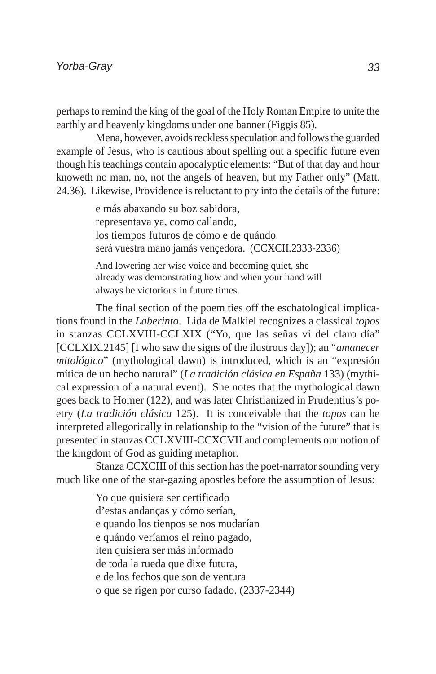perhaps to remind the king of the goal of the Holy Roman Empire to unite the earthly and heavenly kingdoms under one banner (Figgis 85).

Mena, however, avoids reckless speculation and follows the guarded example of Jesus, who is cautious about spelling out a specific future even though his teachings contain apocalyptic elements: "But of that day and hour knoweth no man, no, not the angels of heaven, but my Father only" (Matt. 24.36). Likewise, Providence is reluctant to pry into the details of the future:

> e más abaxando su boz sabidora, representava ya, como callando, los tiempos futuros de cómo e de quándo será vuestra mano jamás vençedora. (CCXCII.2333-2336)

And lowering her wise voice and becoming quiet, she already was demonstrating how and when your hand will always be victorious in future times.

The final section of the poem ties off the eschatological implications found in the *Laberinto.* Lida de Malkiel recognizes a classical *topos* in stanzas CCLXVIII-CCLXIX ("Yo, que las señas vi del claro día" [CCLXIX.2145] [I who saw the signs of the ilustrous day]); an "*amanecer mitológico*" (mythological dawn) is introduced, which is an "expresión mítica de un hecho natural" (*La tradición clásica en España* 133) (mythical expression of a natural event). She notes that the mythological dawn goes back to Homer (122), and was later Christianized in Prudentius's poetry (*La tradición clásica* 125). It is conceivable that the *topos* can be interpreted allegorically in relationship to the "vision of the future" that is presented in stanzas CCLXVIII-CCXCVII and complements our notion of the kingdom of God as guiding metaphor.

Stanza CCXCIII of this section has the poet-narrator sounding very much like one of the star-gazing apostles before the assumption of Jesus:

> Yo que quisiera ser certificado d'estas andanças y cómo serían, e quando los tienpos se nos mudarían e quándo veríamos el reino pagado, iten quisiera ser más informado de toda la rueda que dixe futura, e de los fechos que son de ventura o que se rigen por curso fadado. (2337-2344)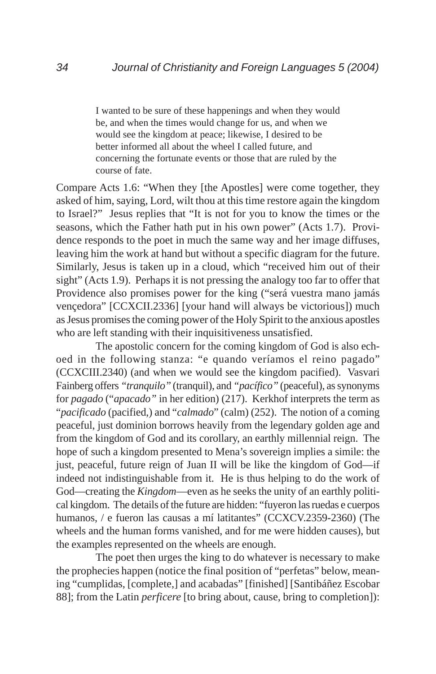I wanted to be sure of these happenings and when they would be, and when the times would change for us, and when we would see the kingdom at peace; likewise, I desired to be better informed all about the wheel I called future, and concerning the fortunate events or those that are ruled by the course of fate.

Compare Acts 1.6: "When they [the Apostles] were come together, they asked of him, saying, Lord, wilt thou at this time restore again the kingdom to Israel?" Jesus replies that "It is not for you to know the times or the seasons, which the Father hath put in his own power" (Acts 1.7). Providence responds to the poet in much the same way and her image diffuses, leaving him the work at hand but without a specific diagram for the future. Similarly, Jesus is taken up in a cloud, which "received him out of their sight" (Acts 1.9). Perhaps it is not pressing the analogy too far to offer that Providence also promises power for the king ("será vuestra mano jamás vençedora" [CCXCII.2336] [your hand will always be victorious]) much as Jesus promises the coming power of the Holy Spirit to the anxious apostles who are left standing with their inquisitiveness unsatisfied.

The apostolic concern for the coming kingdom of God is also echoed in the following stanza: "e quando veríamos el reino pagado" (CCXCIII.2340) (and when we would see the kingdom pacified). Vasvari Fainberg offers *"tranquilo"* (tranquil), and *"pacífico"* (peaceful), as synonyms for *pagado* ("*apacado"* in her edition) (217). Kerkhof interprets the term as "*pacificado* (pacified,) and "*calmado*" (calm) (252). The notion of a coming peaceful, just dominion borrows heavily from the legendary golden age and from the kingdom of God and its corollary, an earthly millennial reign. The hope of such a kingdom presented to Mena's sovereign implies a simile: the just, peaceful, future reign of Juan II will be like the kingdom of God—if indeed not indistinguishable from it. He is thus helping to do the work of God—creating the *Kingdom*—even as he seeks the unity of an earthly political kingdom. The details of the future are hidden: "fuyeron las ruedas e cuerpos humanos, / e fueron las causas a mí latitantes" (CCXCV.2359-2360) (The wheels and the human forms vanished, and for me were hidden causes), but the examples represented on the wheels are enough.

The poet then urges the king to do whatever is necessary to make the prophecies happen (notice the final position of "perfetas" below, meaning "cumplidas, [complete,] and acabadas" [finished] [Santibáñez Escobar 88]; from the Latin *perficere* [to bring about, cause, bring to completion]):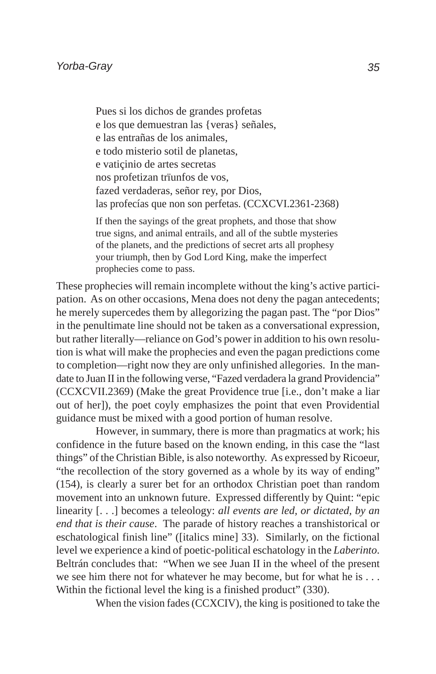Pues si los dichos de grandes profetas e los que demuestran las {veras} señales, e las entrañas de los animales, e todo misterio sotil de planetas, e vatiçinio de artes secretas nos profetizan trïunfos de vos, fazed verdaderas, señor rey, por Dios, las profecías que non son perfetas. (CCXCVI.2361-2368)

If then the sayings of the great prophets, and those that show true signs, and animal entrails, and all of the subtle mysteries of the planets, and the predictions of secret arts all prophesy your triumph, then by God Lord King, make the imperfect prophecies come to pass.

These prophecies will remain incomplete without the king's active participation. As on other occasions, Mena does not deny the pagan antecedents; he merely supercedes them by allegorizing the pagan past. The "por Dios" in the penultimate line should not be taken as a conversational expression, but rather literally—reliance on God's power in addition to his own resolution is what will make the prophecies and even the pagan predictions come to completion—right now they are only unfinished allegories. In the mandate to Juan II in the following verse, "Fazed verdadera la grand Providencia" (CCXCVII.2369) (Make the great Providence true [i.e., don't make a liar out of her]), the poet coyly emphasizes the point that even Providential guidance must be mixed with a good portion of human resolve.

However, in summary, there is more than pragmatics at work; his confidence in the future based on the known ending, in this case the "last things" of the Christian Bible, is also noteworthy. As expressed by Ricoeur, "the recollection of the story governed as a whole by its way of ending" (154), is clearly a surer bet for an orthodox Christian poet than random movement into an unknown future. Expressed differently by Quint: "epic linearity [. . .] becomes a teleology: *all events are led, or dictated, by an end that is their cause*. The parade of history reaches a transhistorical or eschatological finish line" ([italics mine] 33). Similarly, on the fictional level we experience a kind of poetic-political eschatology in the *Laberinto*. Beltrán concludes that: "When we see Juan II in the wheel of the present we see him there not for whatever he may become, but for what he is . . . Within the fictional level the king is a finished product" (330).

When the vision fades (CCXCIV), the king is positioned to take the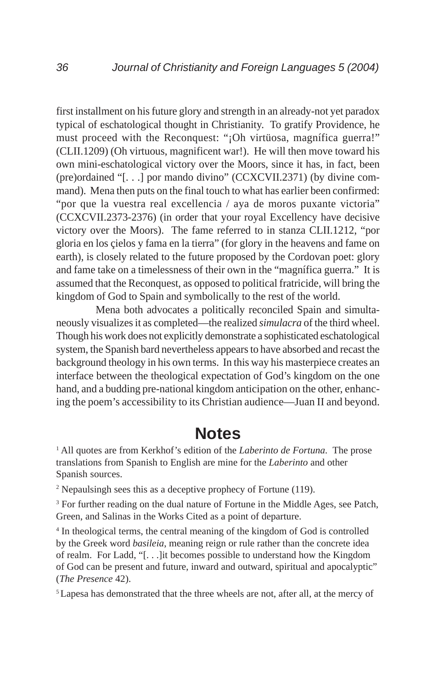first installment on his future glory and strength in an already-not yet paradox typical of eschatological thought in Christianity. To gratify Providence, he must proceed with the Reconquest: "¡Oh virtüosa, magnífica guerra!" (CLII.1209) (Oh virtuous, magnificent war!). He will then move toward his own mini-eschatological victory over the Moors, since it has, in fact, been (pre)ordained "[. . .] por mando divino" (CCXCVII.2371) (by divine command). Mena then puts on the final touch to what has earlier been confirmed: "por que la vuestra real excellencia / aya de moros puxante victoria" (CCXCVII.2373-2376) (in order that your royal Excellency have decisive victory over the Moors). The fame referred to in stanza CLII.1212, "por gloria en los çielos y fama en la tierra" (for glory in the heavens and fame on earth), is closely related to the future proposed by the Cordovan poet: glory and fame take on a timelessness of their own in the "magnífica guerra." It is assumed that the Reconquest, as opposed to political fratricide, will bring the kingdom of God to Spain and symbolically to the rest of the world.

Mena both advocates a politically reconciled Spain and simultaneously visualizes it as completed—the realized *simulacra* of the third wheel. Though his work does not explicitly demonstrate a sophisticated eschatological system, the Spanish bard nevertheless appears to have absorbed and recast the background theology in his own terms. In this way his masterpiece creates an interface between the theological expectation of God's kingdom on the one hand, and a budding pre-national kingdom anticipation on the other, enhancing the poem's accessibility to its Christian audience—Juan II and beyond.

## **Notes**

<sup>1</sup> All quotes are from Kerkhof's edition of the *Laberinto de Fortuna*. The prose translations from Spanish to English are mine for the *Laberinto* and other Spanish sources.

2 Nepaulsingh sees this as a deceptive prophecy of Fortune (119).

<sup>3</sup> For further reading on the dual nature of Fortune in the Middle Ages, see Patch, Green, and Salinas in the Works Cited as a point of departure.

<sup>4</sup> In theological terms, the central meaning of the kingdom of God is controlled by the Greek word *basileia*, meaning reign or rule rather than the concrete idea of realm. For Ladd, "[. . .]it becomes possible to understand how the Kingdom of God can be present and future, inward and outward, spiritual and apocalyptic" (*The Presence* 42).

5 Lapesa has demonstrated that the three wheels are not, after all, at the mercy of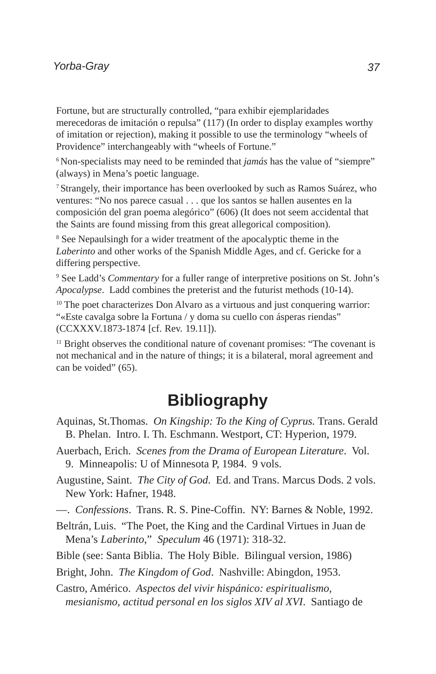#### *Yorba-Gray*

Fortune, but are structurally controlled, "para exhibir ejemplaridades merecedoras de imitación o repulsa" (117) (In order to display examples worthy of imitation or rejection), making it possible to use the terminology "wheels of Providence" interchangeably with "wheels of Fortune."

<sup>6</sup> Non-specialists may need to be reminded that *jamás* has the value of "siempre" (always) in Mena's poetic language.

7 Strangely, their importance has been overlooked by such as Ramos Suárez, who ventures: "No nos parece casual . . . que los santos se hallen ausentes en la composición del gran poema alegórico" (606) (It does not seem accidental that the Saints are found missing from this great allegorical composition).

<sup>8</sup> See Nepaulsingh for a wider treatment of the apocalyptic theme in the *Laberinto* and other works of the Spanish Middle Ages, and cf. Gericke for a differing perspective.

<sup>9</sup> See Ladd's *Commentary* for a fuller range of interpretive positions on St. John's *Apocalypse*. Ladd combines the preterist and the futurist methods (10-14).

<sup>10</sup> The poet characterizes Don Alvaro as a virtuous and just conquering warrior: "«Este cavalga sobre la Fortuna / y doma su cuello con ásperas riendas" (CCXXXV.1873-1874 [cf. Rev. 19.11]).

<sup>11</sup> Bright observes the conditional nature of covenant promises: "The covenant is not mechanical and in the nature of things; it is a bilateral, moral agreement and can be voided" (65).

## **Bibliography**

- Aquinas, St.Thomas. *On Kingship: To the King of Cyprus.* Trans. Gerald B. Phelan. Intro. I. Th. Eschmann. Westport, CT: Hyperion, 1979.
- Auerbach, Erich. *Scenes from the Drama of European Literature*. Vol. 9. Minneapolis: U of Minnesota P, 1984. 9 vols.
- Augustine, Saint. *The City of God*. Ed. and Trans. Marcus Dods. 2 vols. New York: Hafner, 1948.
- —. *Confessions*. Trans. R. S. Pine-Coffin. NY: Barnes & Noble, 1992.
- Beltrán, Luis. "The Poet, the King and the Cardinal Virtues in Juan de Mena's *Laberinto*," *Speculum* 46 (1971): 318-32.

Bible (see: Santa Biblia. The Holy Bible. Bilingual version, 1986)

Bright, John. *The Kingdom of God*. Nashville: Abingdon, 1953.

Castro, Américo. *Aspectos del vivir hispánico: espiritualismo, mesianismo, actitud personal en los siglos XIV al XVI*. Santiago de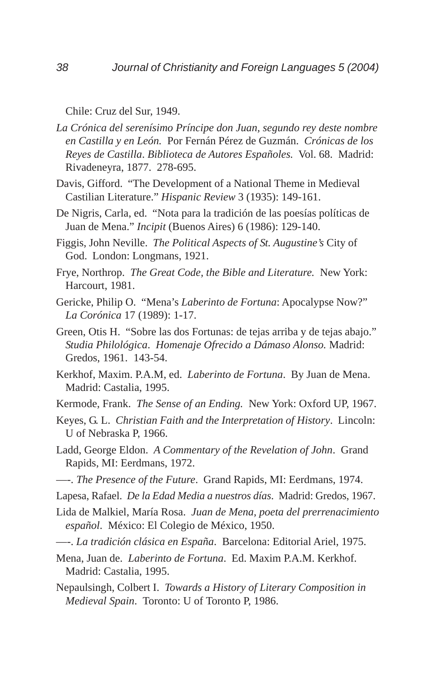Chile: Cruz del Sur, 1949.

- *La Crónica del serenísimo Príncipe don Juan, segundo rey deste nombre en Castilla y en León.* Por Fernán Pérez de Guzmán. *Crónicas de los Reyes de Castilla*. *Biblioteca de Autores Españoles.* Vol. 68. Madrid: Rivadeneyra, 1877. 278-695.
- Davis, Gifford. "The Development of a National Theme in Medieval Castilian Literature." *Hispanic Review* 3 (1935): 149-161.
- De Nigris, Carla, ed. "Nota para la tradición de las poesías políticas de Juan de Mena." *Incipit* (Buenos Aires) 6 (1986): 129-140.
- Figgis, John Neville. *The Political Aspects of St. Augustine's* City of God. London: Longmans, 1921.
- Frye, Northrop. *The Great Code, the Bible and Literature.* New York: Harcourt, 1981.
- Gericke, Philip O. "Mena's *Laberinto de Fortuna*: Apocalypse Now?" *La Corónica* 17 (1989): 1-17.
- Green, Otis H. "Sobre las dos Fortunas: de tejas arriba y de tejas abajo." *Studia Philológica*. *Homenaje Ofrecido a Dámaso Alonso.* Madrid: Gredos, 1961. 143-54.
- Kerkhof, Maxim. P.A.M, ed. *Laberinto de Fortuna*. By Juan de Mena. Madrid: Castalia, 1995.
- Kermode, Frank. *The Sense of an Ending.* New York: Oxford UP, 1967.
- Keyes, G. L. *Christian Faith and the Interpretation of History*. Lincoln: U of Nebraska P, 1966.
- Ladd, George Eldon. *A Commentary of the Revelation of John*. Grand Rapids, MI: Eerdmans, 1972.
- —-. *The Presence of the Future*. Grand Rapids, MI: Eerdmans, 1974.
- Lapesa, Rafael. *De la Edad Media a nuestros días*. Madrid: Gredos, 1967.
- Lida de Malkiel, María Rosa. *Juan de Mena, poeta del prerrenacimiento español*. México: El Colegio de México, 1950.
- —-. *La tradición clásica en España*. Barcelona: Editorial Ariel, 1975.
- Mena, Juan de. *Laberinto de Fortuna*. Ed. Maxim P.A.M. Kerkhof. Madrid: Castalia, 1995.
- Nepaulsingh, Colbert I. *Towards a History of Literary Composition in Medieval Spain*. Toronto: U of Toronto P, 1986.